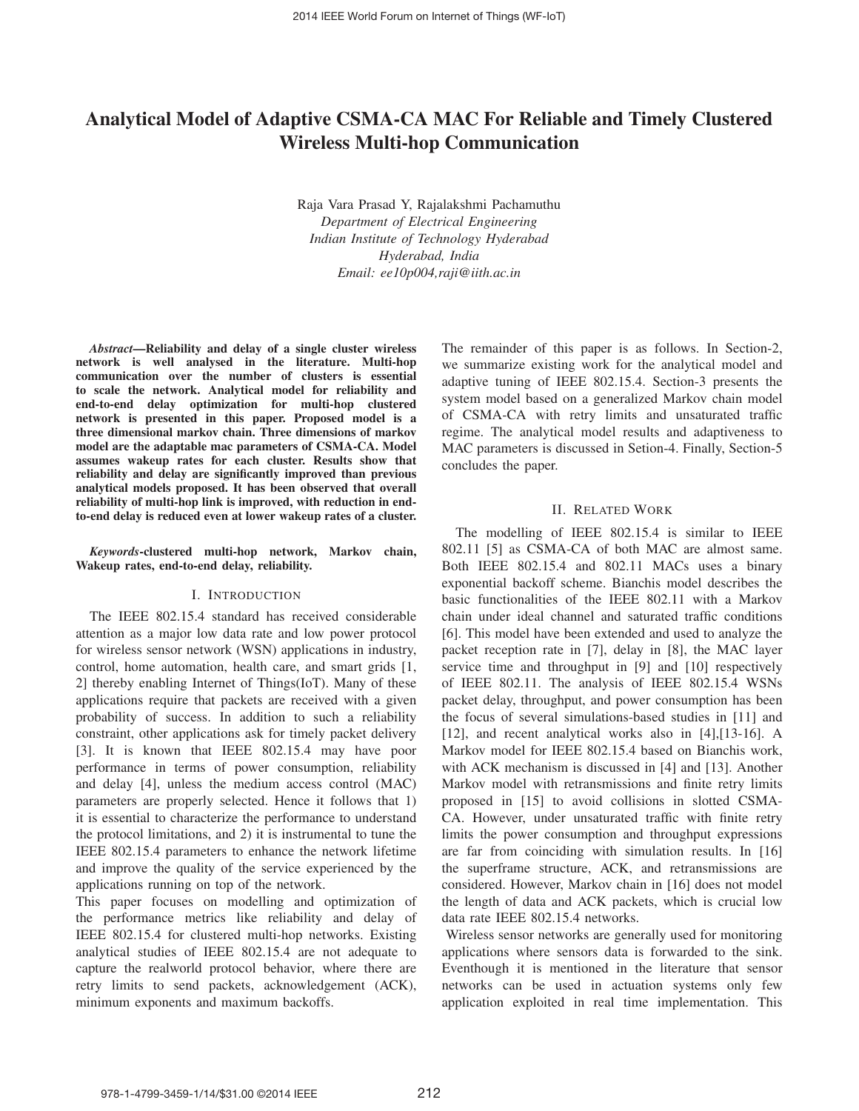# **Analytical Model of Adaptive CSMA-CA MAC For Reliable and Timely Clustered Wireless Multi-hop Communication**

Raja Vara Prasad Y, Rajalakshmi Pachamuthu *Department of Electrical Engineering Indian Institute of Technology Hyderabad Hyderabad, India Email: ee10p004,raji@iith.ac.in*

*Abstract***—Reliability and delay of a single cluster wireless network is well analysed in the literature. Multi-hop communication over the number of clusters is essential to scale the network. Analytical model for reliability and end-to-end delay optimization for multi-hop clustered network is presented in this paper. Proposed model is a three dimensional markov chain. Three dimensions of markov model are the adaptable mac parameters of CSMA-CA. Model assumes wakeup rates for each cluster. Results show that reliability and delay are significantly improved than previous analytical models proposed. It has been observed that overall reliability of multi-hop link is improved, with reduction in endto-end delay is reduced even at lower wakeup rates of a cluster.**

*Keywords***-clustered multi-hop network, Markov chain, Wakeup rates, end-to-end delay, reliability.**

#### I. INTRODUCTION

The IEEE 802.15.4 standard has received considerable attention as a major low data rate and low power protocol for wireless sensor network (WSN) applications in industry, control, home automation, health care, and smart grids [1, 2] thereby enabling Internet of Things(IoT). Many of these applications require that packets are received with a given probability of success. In addition to such a reliability constraint, other applications ask for timely packet delivery [3]. It is known that IEEE 802.15.4 may have poor performance in terms of power consumption, reliability and delay [4], unless the medium access control (MAC) parameters are properly selected. Hence it follows that 1) it is essential to characterize the performance to understand the protocol limitations, and 2) it is instrumental to tune the IEEE 802.15.4 parameters to enhance the network lifetime and improve the quality of the service experienced by the applications running on top of the network.

This paper focuses on modelling and optimization of the performance metrics like reliability and delay of IEEE 802.15.4 for clustered multi-hop networks. Existing analytical studies of IEEE 802.15.4 are not adequate to capture the realworld protocol behavior, where there are retry limits to send packets, acknowledgement (ACK), minimum exponents and maximum backoffs.

The remainder of this paper is as follows. In Section-2, we summarize existing work for the analytical model and adaptive tuning of IEEE 802.15.4. Section-3 presents the system model based on a generalized Markov chain model of CSMA-CA with retry limits and unsaturated traffic regime. The analytical model results and adaptiveness to MAC parameters is discussed in Setion-4. Finally, Section-5 concludes the paper.

## II. RELATED WORK

The modelling of IEEE 802.15.4 is similar to IEEE 802.11 [5] as CSMA-CA of both MAC are almost same. Both IEEE 802.15.4 and 802.11 MACs uses a binary exponential backoff scheme. Bianchis model describes the basic functionalities of the IEEE 802.11 with a Markov chain under ideal channel and saturated traffic conditions [6]. This model have been extended and used to analyze the packet reception rate in [7], delay in [8], the MAC layer service time and throughput in [9] and [10] respectively of IEEE 802.11. The analysis of IEEE 802.15.4 WSNs packet delay, throughput, and power consumption has been the focus of several simulations-based studies in [11] and [12], and recent analytical works also in [4],[13-16]. A Markov model for IEEE 802.15.4 based on Bianchis work, with ACK mechanism is discussed in [4] and [13]. Another Markov model with retransmissions and finite retry limits proposed in [15] to avoid collisions in slotted CSMA-CA. However, under unsaturated traffic with finite retry limits the power consumption and throughput expressions are far from coinciding with simulation results. In [16] the superframe structure, ACK, and retransmissions are considered. However, Markov chain in [16] does not model the length of data and ACK packets, which is crucial low data rate IEEE 802.15.4 networks.

Wireless sensor networks are generally used for monitoring applications where sensors data is forwarded to the sink. Eventhough it is mentioned in the literature that sensor networks can be used in actuation systems only few application exploited in real time implementation. This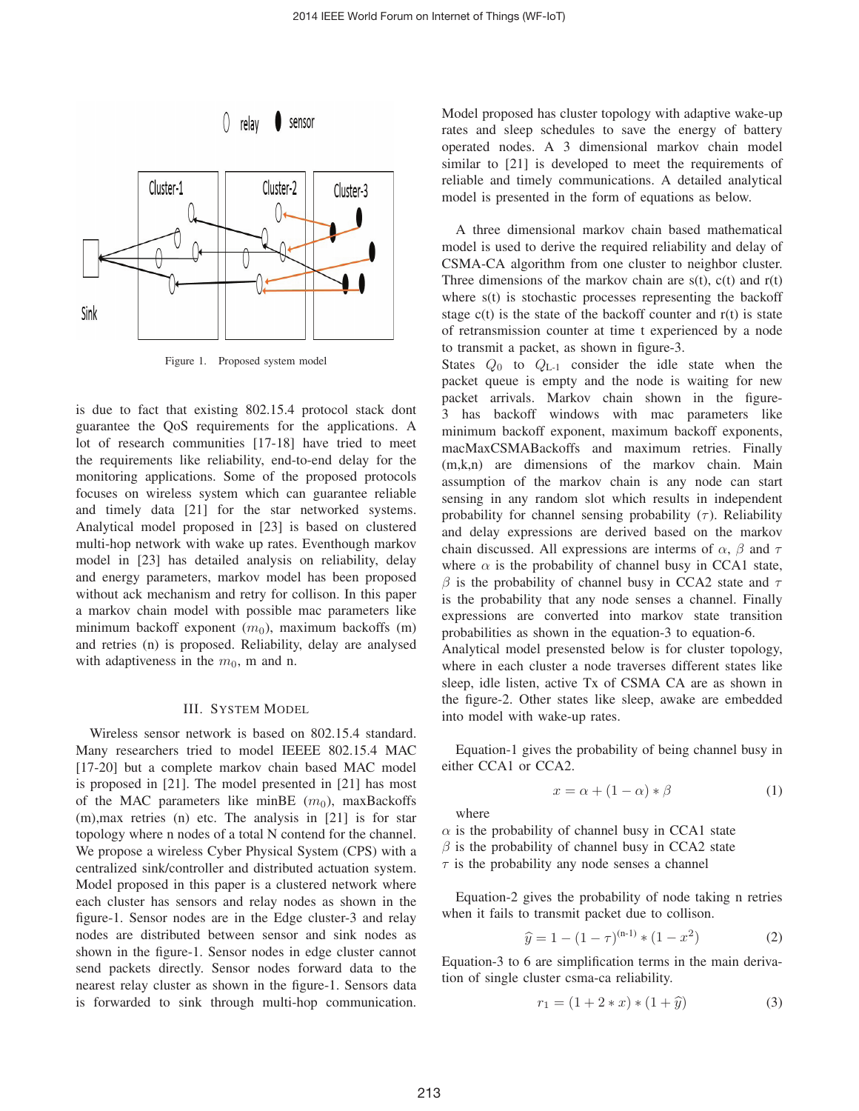



Figure 1. Proposed system model

is due to fact that existing 802.15.4 protocol stack dont guarantee the QoS requirements for the applications. A lot of research communities [17-18] have tried to meet the requirements like reliability, end-to-end delay for the monitoring applications. Some of the proposed protocols focuses on wireless system which can guarantee reliable and timely data [21] for the star networked systems. Analytical model proposed in [23] is based on clustered multi-hop network with wake up rates. Eventhough markov model in [23] has detailed analysis on reliability, delay and energy parameters, markov model has been proposed without ack mechanism and retry for collison. In this paper a markov chain model with possible mac parameters like minimum backoff exponent  $(m_0)$ , maximum backoffs  $(m)$ and retries (n) is proposed. Reliability, delay are analysed with adaptiveness in the  $m_0$ , m and n.

## III. SYSTEM MODEL

Wireless sensor network is based on 802.15.4 standard. Many researchers tried to model IEEEE 802.15.4 MAC [17-20] but a complete markov chain based MAC model is proposed in [21]. The model presented in [21] has most of the MAC parameters like minBE  $(m_0)$ , maxBackoffs (m),max retries (n) etc. The analysis in [21] is for star topology where n nodes of a total N contend for the channel. We propose a wireless Cyber Physical System (CPS) with a centralized sink/controller and distributed actuation system. Model proposed in this paper is a clustered network where each cluster has sensors and relay nodes as shown in the figure-1. Sensor nodes are in the Edge cluster-3 and relay nodes are distributed between sensor and sink nodes as shown in the figure-1. Sensor nodes in edge cluster cannot send packets directly. Sensor nodes forward data to the nearest relay cluster as shown in the figure-1. Sensors data is forwarded to sink through multi-hop communication. Model proposed has cluster topology with adaptive wake-up rates and sleep schedules to save the energy of battery operated nodes. A 3 dimensional markov chain model similar to [21] is developed to meet the requirements of reliable and timely communications. A detailed analytical model is presented in the form of equations as below.

A three dimensional markov chain based mathematical model is used to derive the required reliability and delay of CSMA-CA algorithm from one cluster to neighbor cluster. Three dimensions of the markov chain are  $s(t)$ ,  $c(t)$  and  $r(t)$ where  $s(t)$  is stochastic processes representing the backoff stage  $c(t)$  is the state of the backoff counter and  $r(t)$  is state of retransmission counter at time t experienced by a node to transmit a packet, as shown in figure-3.

States  $Q_0$  to  $Q_{L-1}$  consider the idle state when the packet queue is empty and the node is waiting for new packet arrivals. Markov chain shown in the figure-3 has backoff windows with mac parameters like minimum backoff exponent, maximum backoff exponents, macMaxCSMABackoffs and maximum retries. Finally (m,k,n) are dimensions of the markov chain. Main assumption of the markov chain is any node can start sensing in any random slot which results in independent probability for channel sensing probability  $(\tau)$ . Reliability and delay expressions are derived based on the markov chain discussed. All expressions are interms of  $\alpha$ ,  $\beta$  and  $\tau$ where  $\alpha$  is the probability of channel busy in CCA1 state,  $\beta$  is the probability of channel busy in CCA2 state and  $\tau$ is the probability that any node senses a channel. Finally expressions are converted into markov state transition probabilities as shown in the equation-3 to equation-6.

Analytical model presensted below is for cluster topology, where in each cluster a node traverses different states like sleep, idle listen, active Tx of CSMA CA are as shown in the figure-2. Other states like sleep, awake are embedded into model with wake-up rates.

Equation-1 gives the probability of being channel busy in either CCA1 or CCA2.

$$
x = \alpha + (1 - \alpha) * \beta \tag{1}
$$

where

 $\alpha$  is the probability of channel busy in CCA1 state  $\beta$  is the probability of channel busy in CCA2 state  $\tau$  is the probability any node senses a channel

Equation-2 gives the probability of node taking n retries<br>
ien it fails to transmit packet due to collison.<br>  $\hat{y} = 1 - (1 - \tau)^{(n-1)} * (1 - x^2)$  (2) when it fails to transmit packet due to collison.

$$
\widehat{y} = 1 - (1 - \tau)^{(n-1)} * (1 - x^2)
$$
 (2)

Equation-3 to 6 are simplification terms in the main deriva-<br>
tion of single cluster csma-ca reliability.<br>  $r_1 = (1 + 2 * x) * (1 + \hat{y})$  (3) tion of single cluster csma-ca reliability.

$$
r_1 = (1 + 2 * x) * (1 + \hat{y})
$$
 (3)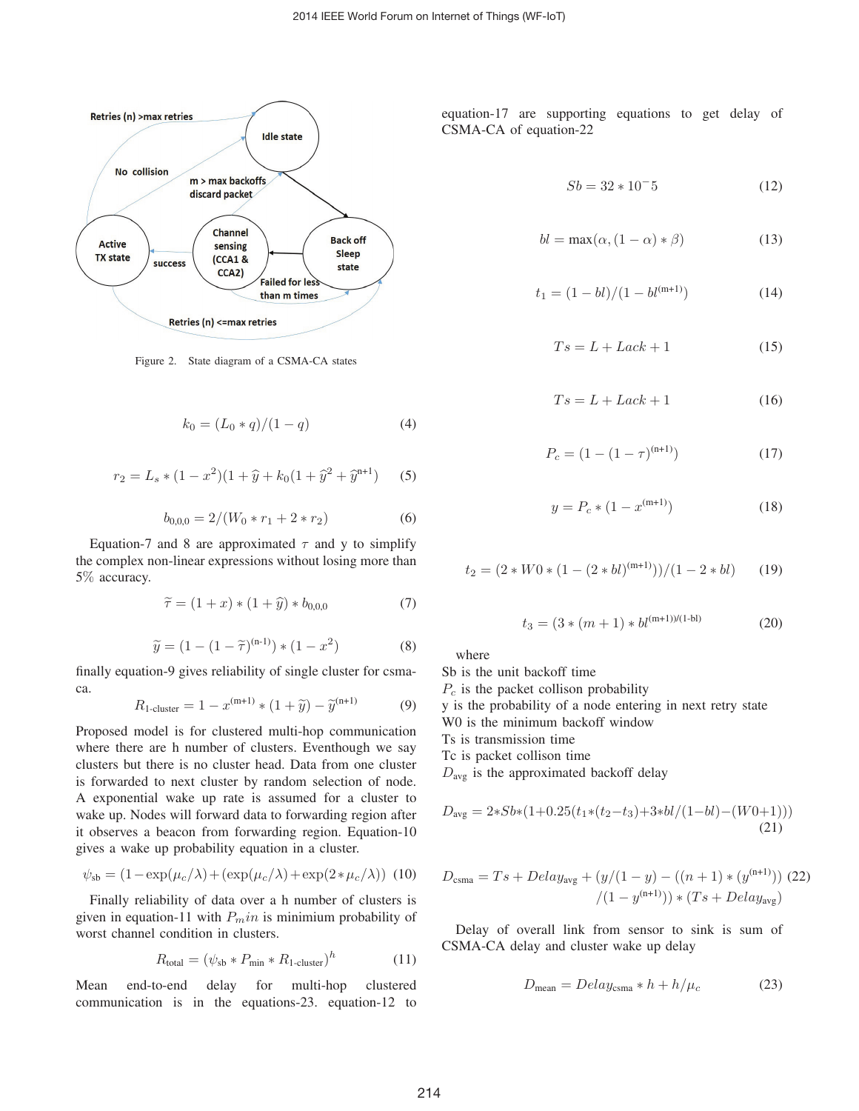

Figure 2. State diagram of a CSMA-CA states

$$
k_0 = (L_0 * q)/(1 - q)
$$
 (4)

$$
\kappa_0 = (L_0 * q) / (1 - q) \tag{4}
$$
  

$$
r_2 = L_s * (1 - x^2) (1 + \hat{y} + k_0 (1 + \hat{y}^2 + \hat{y}^{n+1}) \tag{5}
$$

$$
b_{0,0,0} = 2/(W_0 * r_1 + 2 * r_2)
$$
 (6)

Equation-7 and 8 are approximated  $\tau$  and y to simplify the complex non-linear expressions without losing more than<br>5% accuracy.<br> $\tilde{\tau} = (1 + x) * (1 + \hat{y}) * b_{0,0,0}$  (7) 5% accuracy.

$$
\widetilde{\tau} = (1+x) * (1+\widehat{y}) * b_{0,0,0} \tag{7}
$$

$$
\widetilde{\tau} = (1+x) * (1+\widehat{y}) * b_{0,0,0}
$$
\n
$$
\widetilde{y} = (1 - (1-\widetilde{\tau})^{(n-1)}) * (1 - x^2)
$$
\n(8)

finally equation-9 gives reliability of single cluster for csmaca. ation-9 gives reliability of single cluster for csma-<br>  $R_{1\text{-cluster}} = 1 - x^{(m+1)} * (1 + \tilde{y}) - \tilde{y}^{(n+1)}$  (9)

$$
R_{1\text{-cluster}} = 1 - x^{(m+1)} * (1 + \tilde{y}) - \tilde{y}^{(n+1)} \tag{9}
$$

Proposed model is for clustered multi-hop communication where there are h number of clusters. Eventhough we say clusters but there is no cluster head. Data from one cluster is forwarded to next cluster by random selection of node. A exponential wake up rate is assumed for a cluster to wake up. Nodes will forward data to forwarding region after it observes a beacon from forwarding region. Equation-10 gives a wake up probability equation in a cluster.

$$
\psi_{\rm sb} = (1 - \exp(\mu_c/\lambda) + (\exp(\mu_c/\lambda) + \exp(2*\mu_c/\lambda))
$$
 (10)

Finally reliability of data over a h number of clusters is given in equation-11 with  $P_m$ in is minimium probability of worst channel condition in clusters.

$$
R_{\text{total}} = (\psi_{\text{sb}} * P_{\text{min}} * R_{1\text{-cluster}})^h \tag{11}
$$

Mean end-to-end delay for multi-hop clustered communication is in the equations-23. equation-12 to equation-17 are supporting equations to get delay of CSMA-CA of equation-22

$$
Sb = 32 \times 10^{-5} \tag{12}
$$

$$
bl = \max(\alpha, (1 - \alpha) * \beta)
$$
 (13)

$$
t_1 = (1 - bl)/(1 - bl(m+1))
$$
 (14)

$$
Ts = L + Lack + 1 \tag{15}
$$

$$
Ts = L + Lack + 1 \tag{16}
$$

$$
P_c = (1 - (1 - \tau)^{(n+1)})
$$
\n(17)

$$
y = P_c * (1 - x^{(m+1)})
$$
 (18)

$$
t_2 = (2 * W0 * (1 - (2 * bl)^{(m+1)}))/(1 - 2 * bl)
$$
 (19)

$$
t_3 = (3*(m+1)*bl^{(m+1)/(1-b1)} \tag{20}
$$

where

Sb is the unit backoff time

 $P_c$  is the packet collison probability

y is the probability of a node entering in next retry state

W0 is the minimum backoff window

Ts is transmission time

Tc is packet collison time

 $D_{\text{avg}}$  is the approximated backoff delay

$$
D_{\text{avg}} = 2*Sb*(1+0.25(t_1*(t_2-t_3)+3*bl/(1-bl)-(W0+1)))
$$
\n(21)

$$
D_{\text{csma}} = Ts + Delay_{\text{avg}} + (y/(1-y) - ((n+1) * (y^{(n+1)})) (22)
$$

$$
/(1 - y^{(n+1)})) * (Ts + Delay_{\text{avg}})
$$

Delay of overall link from sensor to sink is sum of CSMA-CA delay and cluster wake up delay

$$
D_{\text{mean}} = Delay_{\text{csma}} * h + h/\mu_c \tag{23}
$$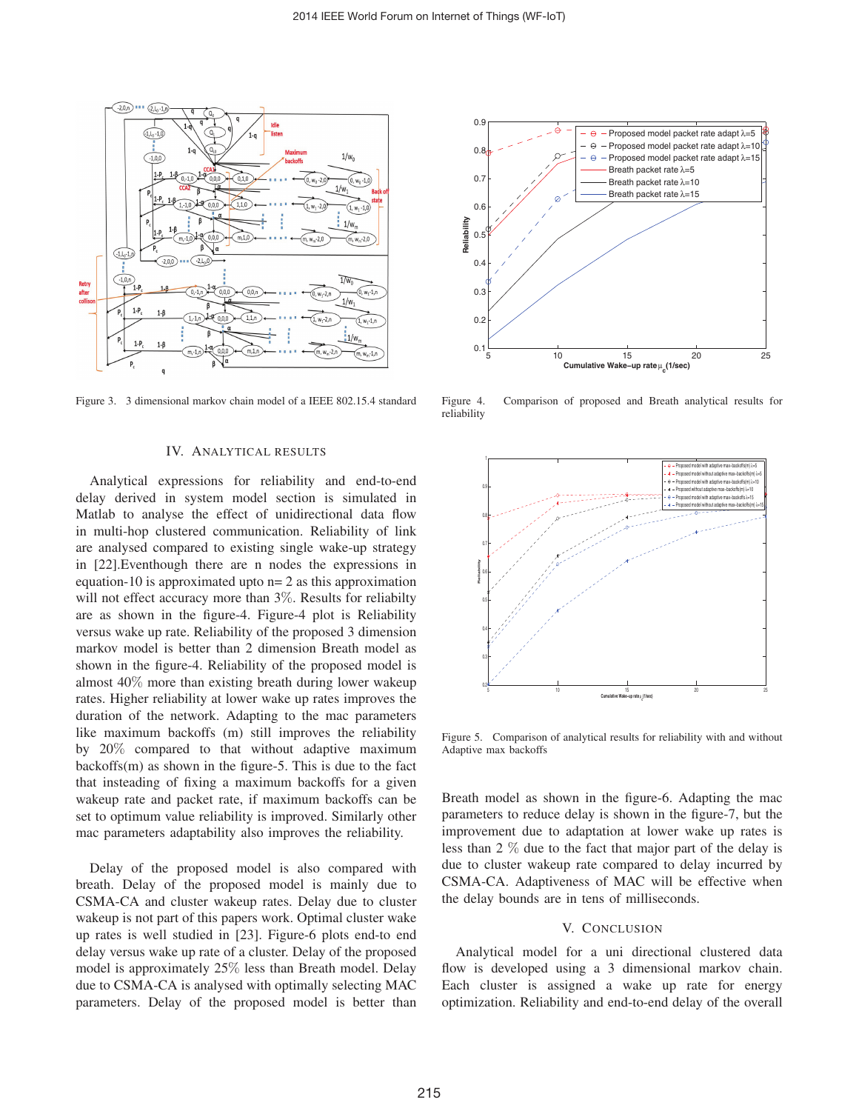

Figure 3. 3 dimensional markov chain model of a IEEE 802.15.4 standard

#### IV. ANALYTICAL RESULTS

Analytical expressions for reliability and end-to-end delay derived in system model section is simulated in Matlab to analyse the effect of unidirectional data flow in multi-hop clustered communication. Reliability of link are analysed compared to existing single wake-up strategy in [22].Eventhough there are n nodes the expressions in equation-10 is approximated upto  $n=2$  as this approximation will not effect accuracy more than 3%. Results for reliabilty are as shown in the figure-4. Figure-4 plot is Reliability versus wake up rate. Reliability of the proposed 3 dimension markov model is better than 2 dimension Breath model as shown in the figure-4. Reliability of the proposed model is almost 40% more than existing breath during lower wakeup rates. Higher reliability at lower wake up rates improves the duration of the network. Adapting to the mac parameters like maximum backoffs (m) still improves the reliability by 20% compared to that without adaptive maximum backoffs(m) as shown in the figure-5. This is due to the fact that insteading of fixing a maximum backoffs for a given wakeup rate and packet rate, if maximum backoffs can be set to optimum value reliability is improved. Similarly other mac parameters adaptability also improves the reliability.

Delay of the proposed model is also compared with breath. Delay of the proposed model is mainly due to CSMA-CA and cluster wakeup rates. Delay due to cluster wakeup is not part of this papers work. Optimal cluster wake up rates is well studied in [23]. Figure-6 plots end-to end delay versus wake up rate of a cluster. Delay of the proposed model is approximately 25% less than Breath model. Delay due to CSMA-CA is analysed with optimally selecting MAC parameters. Delay of the proposed model is better than



Figure 4. Comparison of proposed and Breath analytical results for reliability



Figure 5. Comparison of analytical results for reliability with and without Adaptive max backoffs

Breath model as shown in the figure-6. Adapting the mac parameters to reduce delay is shown in the figure-7, but the improvement due to adaptation at lower wake up rates is less than 2 % due to the fact that major part of the delay is due to cluster wakeup rate compared to delay incurred by CSMA-CA. Adaptiveness of MAC will be effective when the delay bounds are in tens of milliseconds.

## V. CONCLUSION

Analytical model for a uni directional clustered data flow is developed using a 3 dimensional markov chain. Each cluster is assigned a wake up rate for energy optimization. Reliability and end-to-end delay of the overall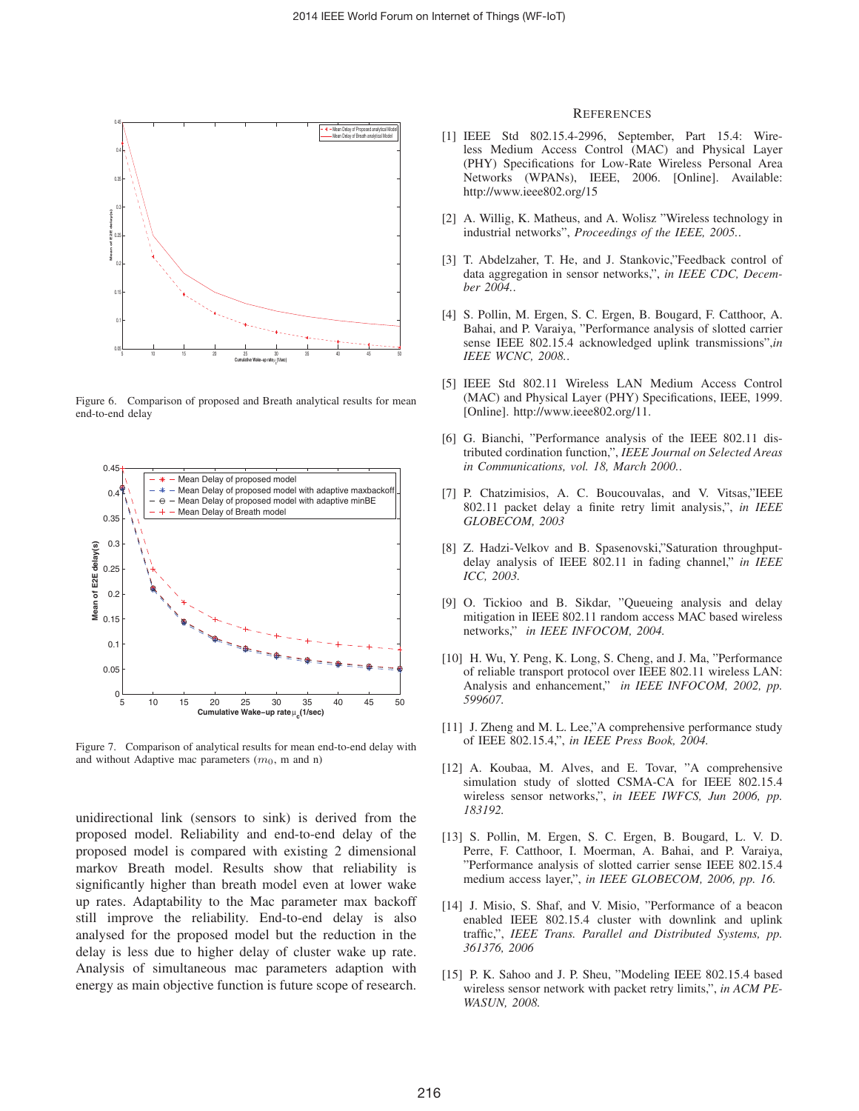

Figure 6. Comparison of proposed and Breath analytical results for mean end-to-end delay



Figure 7. Comparison of analytical results for mean end-to-end delay with and without Adaptive mac parameters  $(m_0, m$  and n)

unidirectional link (sensors to sink) is derived from the proposed model. Reliability and end-to-end delay of the proposed model is compared with existing 2 dimensional markov Breath model. Results show that reliability is significantly higher than breath model even at lower wake up rates. Adaptability to the Mac parameter max backoff still improve the reliability. End-to-end delay is also analysed for the proposed model but the reduction in the delay is less due to higher delay of cluster wake up rate. Analysis of simultaneous mac parameters adaption with energy as main objective function is future scope of research.

#### **REFERENCES**

- [1] IEEE Std 802.15.4-2996, September, Part 15.4: Wireless Medium Access Control (MAC) and Physical Layer (PHY) Specifications for Low-Rate Wireless Personal Area Networks (WPANs), IEEE, 2006. [Online]. Available: http://www.ieee802.org/15
- [2] A. Willig, K. Matheus, and A. Wolisz "Wireless technology in industrial networks", *Proceedings of the IEEE, 2005.*.
- [3] T. Abdelzaher, T. He, and J. Stankovic,"Feedback control of data aggregation in sensor networks,", *in IEEE CDC, December 2004.*.
- [4] S. Pollin, M. Ergen, S. C. Ergen, B. Bougard, F. Catthoor, A. Bahai, and P. Varaiya, "Performance analysis of slotted carrier sense IEEE 802.15.4 acknowledged uplink transmissions",*in IEEE WCNC, 2008.*.
- [5] IEEE Std 802.11 Wireless LAN Medium Access Control (MAC) and Physical Layer (PHY) Specifications, IEEE, 1999. [Online]. http://www.ieee802.org/11.
- [6] G. Bianchi, "Performance analysis of the IEEE 802.11 distributed cordination function,", *IEEE Journal on Selected Areas in Communications, vol. 18, March 2000.*.
- [7] P. Chatzimisios, A. C. Boucouvalas, and V. Vitsas,"IEEE 802.11 packet delay a finite retry limit analysis,", *in IEEE GLOBECOM, 2003*
- [8] Z. Hadzi-Velkov and B. Spasenovski,"Saturation throughputdelay analysis of IEEE 802.11 in fading channel," *in IEEE ICC, 2003.*
- [9] O. Tickioo and B. Sikdar, "Queueing analysis and delay mitigation in IEEE 802.11 random access MAC based wireless networks," *in IEEE INFOCOM, 2004.*
- [10] H. Wu, Y. Peng, K. Long, S. Cheng, and J. Ma, "Performance" of reliable transport protocol over IEEE 802.11 wireless LAN: Analysis and enhancement," *in IEEE INFOCOM, 2002, pp. 599607.*
- [11] J. Zheng and M. L. Lee,"A comprehensive performance study of IEEE 802.15.4,", *in IEEE Press Book, 2004.*
- [12] A. Koubaa, M. Alves, and E. Tovar, "A comprehensive simulation study of slotted CSMA-CA for IEEE 802.15.4 wireless sensor networks,", *in IEEE IWFCS, Jun 2006, pp. 183192.*
- [13] S. Pollin, M. Ergen, S. C. Ergen, B. Bougard, L. V. D. Perre, F. Catthoor, I. Moerman, A. Bahai, and P. Varaiya, "Performance analysis of slotted carrier sense IEEE 802.15.4 medium access layer,", *in IEEE GLOBECOM, 2006, pp. 16.*
- [14] J. Misio, S. Shaf, and V. Misio, "Performance of a beacon enabled IEEE 802.15.4 cluster with downlink and uplink traffic,", *IEEE Trans. Parallel and Distributed Systems, pp. 361376, 2006*
- [15] P. K. Sahoo and J. P. Sheu, "Modeling IEEE 802.15.4 based wireless sensor network with packet retry limits,", *in ACM PE-WASUN, 2008.*